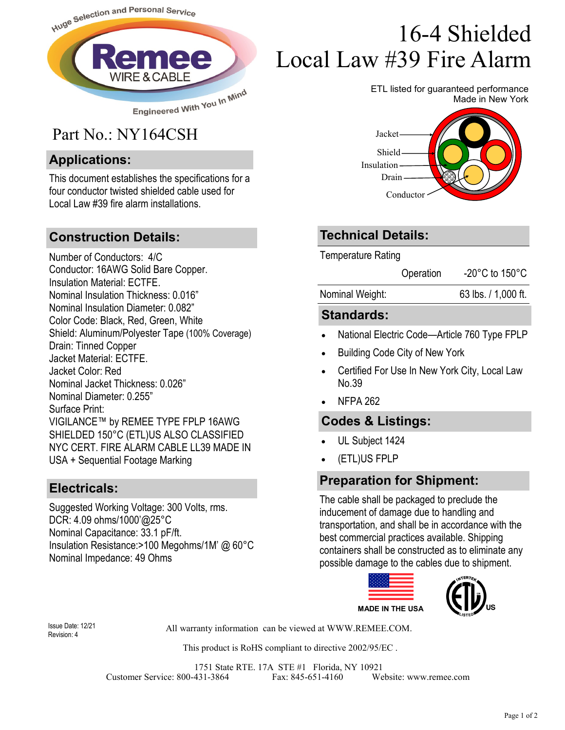

## Part No.: NY164CSH

#### **Applications:**

This document establishes the specifications for a four conductor twisted shielded cable used for Local Law #39 fire alarm installations.

#### **Construction Details:**

Number of Conductors: 4/C Conductor: 16AWG Solid Bare Copper. Insulation Material: ECTFE. Nominal Insulation Thickness: 0.016" Nominal Insulation Diameter: 0.082" Color Code: Black, Red, Green, White Shield: Aluminum/Polyester Tape (100% Coverage) Drain: Tinned Copper Jacket Material: ECTFE. Jacket Color: Red Nominal Jacket Thickness: 0.026" Nominal Diameter: 0.255" Surface Print: VIGILANCE™ by REMEE TYPE FPLP 16AWG SHIELDED 150°C (ETL)US ALSO CLASSIFIED NYC CERT. FIRE ALARM CABLE LL39 MADE IN USA + Sequential Footage Marking

#### **Electricals:**

Suggested Working Voltage: 300 Volts, rms. DCR: 4.09 ohms/1000'@25°C Nominal Capacitance: 33.1 pF/ft. Insulation Resistance:>100 Megohms/1M' @ 60°C Nominal Impedance: 49 Ohms

# 16-4 Shielded Local Law #39 Fire Alarm

ETL listed for guaranteed performance Made in New York



#### **Technical Details:**

Temperature Rating

| Operation | -20 $^{\circ}$ C to 150 $^{\circ}$ C |
|-----------|--------------------------------------|
|           |                                      |

#### **Standards:**

- National Electric Code—Article 760 Type FPLP
- Building Code City of New York
- Certified For Use In New York City, Local Law No.39
- NFPA 262

#### **Codes & Listings:**

- UL Subject 1424
- (ETL)US FPLP

### **Preparation for Shipment:**

The cable shall be packaged to preclude the inducement of damage due to handling and transportation, and shall be in accordance with the best commercial practices available. Shipping containers shall be constructed as to eliminate any possible damage to the cables due to shipment.



Revision: 4

All warranty information can be viewed at WWW.REMEE.COM. Issue Date: 12/21

This product is RoHS compliant to directive 2002/95/EC .

1751 State RTE. 17A STE #1 Florida, NY 10921 Customer Service: 800-431-3864 Fax: 845-651-4160 Website: www.remee.com